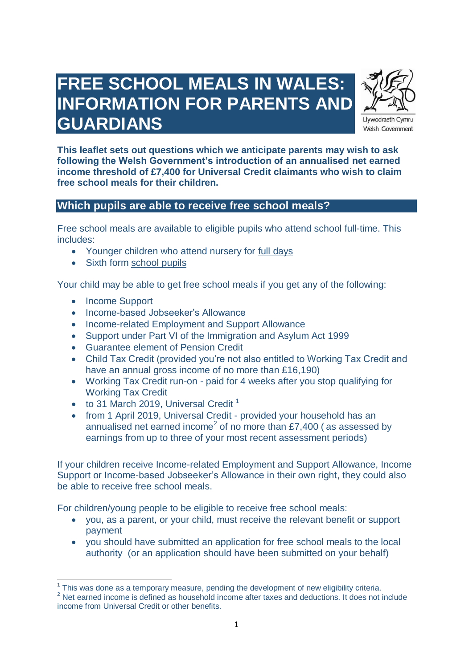# **FREE SCHOOL MEALS IN WALES: INFORMATION FOR PARENTS AND GUARDIANS**



Llywodraeth Cymru Welsh Government

**This leaflet sets out questions which we anticipate parents may wish to ask following the Welsh Government's introduction of an annualised net earned income threshold of £7,400 for Universal Credit claimants who wish to claim free school meals for their children.**

### **Which pupils are able to receive free school meals?**

Free school meals are available to eligible pupils who attend school full-time. This includes:

- Younger children who attend nursery for full days
- Sixth form school pupils

Your child may be able to get free school meals if you get any of the following:

- Income Support
- Income-based Jobseeker's Allowance
- Income-related Employment and Support Allowance
- Support under Part VI of the Immigration and Asylum Act 1999
- Guarantee element of Pension Credit
- Child Tax Credit (provided you're not also entitled to Working Tax Credit and have an annual gross income of no more than £16,190)
- Working Tax Credit run-on paid for 4 weeks after you stop qualifying for Working Tax Credit
- $\bullet$  to 31 March 2019, Universal Credit<sup>1</sup>
- from 1 April 2019, Universal Credit provided your household has an annualised net earned income<sup>2</sup> of no more than £7,400 (as assessed by earnings from up to three of your most recent assessment periods)

If your children receive Income-related Employment and Support Allowance, Income Support or Income-based Jobseeker's Allowance in their own right, they could also be able to receive free school meals.

For children/young people to be eligible to receive free school meals:

- you, as a parent, or your child, must receive the relevant benefit or support payment
- you should have submitted an application for free school meals to the local authority (or an application should have been submitted on your behalf)

This was done as a temporary measure, pending the development of new eligibility criteria.

<sup>&</sup>lt;sup>2</sup> Net earned income is defined as household income after taxes and deductions. It does not include income from Universal Credit or other benefits.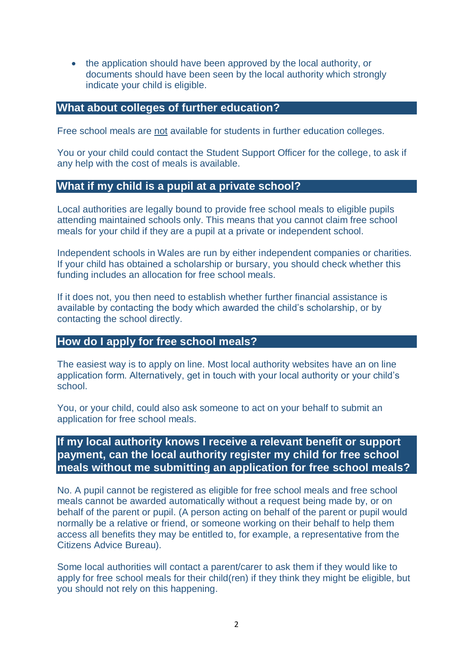• the application should have been approved by the local authority, or documents should have been seen by the local authority which strongly indicate your child is eligible.

#### **What about colleges of further education?**

Free school meals are not available for students in further education colleges.

You or your child could contact the Student Support Officer for the college, to ask if any help with the cost of meals is available.

#### **What if my child is a pupil at a private school?**

Local authorities are legally bound to provide free school meals to eligible pupils attending maintained schools only. This means that you cannot claim free school meals for your child if they are a pupil at a private or independent school.

Independent schools in Wales are run by either independent companies or charities. If your child has obtained a scholarship or bursary, you should check whether this funding includes an allocation for free school meals.

If it does not, you then need to establish whether further financial assistance is available by contacting the body which awarded the child's scholarship, or by contacting the school directly.

#### **How do I apply for free school meals?**

The easiest way is to apply on line. Most local authority websites have an on line application form. Alternatively, get in touch with your local authority or your child's school.

You, or your child, could also ask someone to act on your behalf to submit an application for free school meals.

# **If my local authority knows I receive a relevant benefit or support payment, can the local authority register my child for free school meals without me submitting an application for free school meals?**

No. A pupil cannot be registered as eligible for free school meals and free school meals cannot be awarded automatically without a request being made by, or on behalf of the parent or pupil. (A person acting on behalf of the parent or pupil would normally be a relative or friend, or someone working on their behalf to help them access all benefits they may be entitled to, for example, a representative from the Citizens Advice Bureau).

Some local authorities will contact a parent/carer to ask them if they would like to apply for free school meals for their child(ren) if they think they might be eligible, but you should not rely on this happening.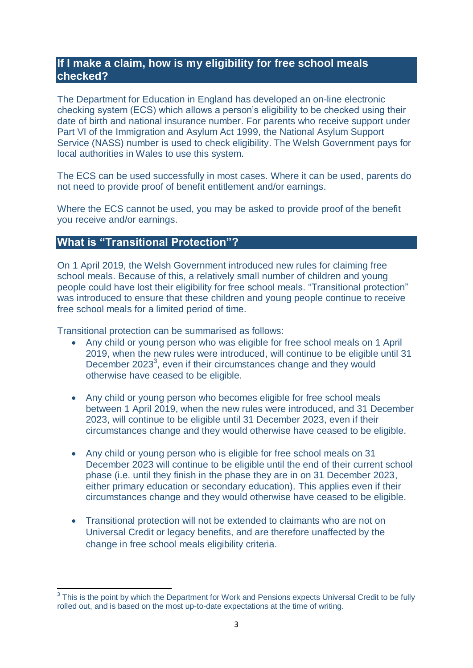# **If I make a claim, how is my eligibility for free school meals checked?**

The Department for Education in England has developed an on-line electronic checking system (ECS) which allows a person's eligibility to be checked using their date of birth and national insurance number. For parents who receive support under Part VI of the Immigration and Asylum Act 1999, the National Asylum Support Service (NASS) number is used to check eligibility. The Welsh Government pays for local authorities in Wales to use this system.

The ECS can be used successfully in most cases. Where it can be used, parents do not need to provide proof of benefit entitlement and/or earnings.

Where the ECS cannot be used, you may be asked to provide proof of the benefit you receive and/or earnings.

### **What is "Transitional Protection"?**

On 1 April 2019, the Welsh Government introduced new rules for claiming free school meals. Because of this, a relatively small number of children and young people could have lost their eligibility for free school meals. "Transitional protection" was introduced to ensure that these children and young people continue to receive free school meals for a limited period of time.

Transitional protection can be summarised as follows:

- Any child or young person who was eligible for free school meals on 1 April 2019, when the new rules were introduced, will continue to be eligible until 31 December 2023<sup>3</sup>, even if their circumstances change and they would otherwise have ceased to be eligible.
- Any child or young person who becomes eligible for free school meals between 1 April 2019, when the new rules were introduced, and 31 December 2023, will continue to be eligible until 31 December 2023, even if their circumstances change and they would otherwise have ceased to be eligible.
- Any child or young person who is eligible for free school meals on 31 December 2023 will continue to be eligible until the end of their current school phase (i.e. until they finish in the phase they are in on 31 December 2023, either primary education or secondary education). This applies even if their circumstances change and they would otherwise have ceased to be eligible.
- Transitional protection will not be extended to claimants who are not on Universal Credit or legacy benefits, and are therefore unaffected by the change in free school meals eligibility criteria.

<sup>&</sup>lt;u>3</u><br><sup>3</sup> This is the point by which the Department for Work and Pensions expects Universal Credit to be fully rolled out, and is based on the most up-to-date expectations at the time of writing.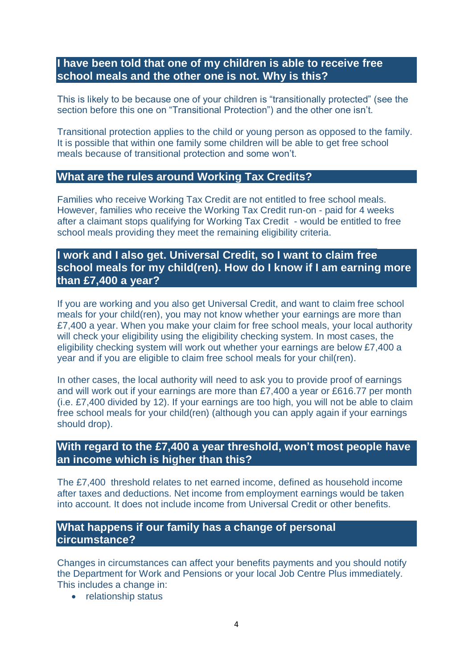# **I have been told that one of my children is able to receive free school meals and the other one is not. Why is this?**

This is likely to be because one of your children is "transitionally protected" (see the section before this one on "Transitional Protection") and the other one isn't.

Transitional protection applies to the child or young person as opposed to the family. It is possible that within one family some children will be able to get free school meals because of transitional protection and some won't.

#### **What are the rules around Working Tax Credits?**

Families who receive Working Tax Credit are not entitled to free school meals. However, families who receive the Working Tax Credit run-on - paid for 4 weeks after a claimant stops qualifying for Working Tax Credit - would be entitled to free school meals providing they meet the remaining eligibility criteria.

## **I work and I also get. Universal Credit, so I want to claim free school meals for my child(ren). How do I know if I am earning more than £7,400 a year?**

If you are working and you also get Universal Credit, and want to claim free school meals for your child(ren), you may not know whether your earnings are more than £7,400 a year. When you make your claim for free school meals, your local authority will check your eligibility using the eligibility checking system. In most cases, the eligibility checking system will work out whether your earnings are below £7,400 a year and if you are eligible to claim free school meals for your chil(ren).

In other cases, the local authority will need to ask you to provide proof of earnings and will work out if your earnings are more than £7,400 a year or £616.77 per month (i.e. £7,400 divided by 12). If your earnings are too high, you will not be able to claim free school meals for your child(ren) (although you can apply again if your earnings should drop).

# **With regard to the £7,400 a year threshold, won't most people have an income which is higher than this?**

The £7,400 threshold relates to net earned income, defined as household income after taxes and deductions. Net income from employment earnings would be taken into account. It does not include income from Universal Credit or other benefits.

# **What happens if our family has a change of personal circumstance?**

Changes in circumstances can affect your benefits payments and you should notify the Department for Work and Pensions or your local Job Centre Plus immediately. This includes a change in:

• relationship status